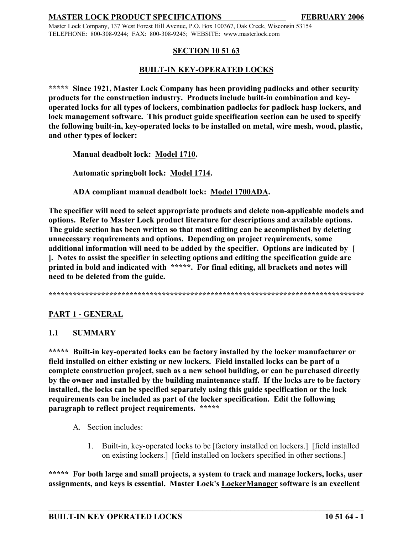Master Lock Company, 137 West Forest Hill Avenue, P.O. Box 100367, Oak Creek, Wisconsin 53154 TELEPHONE: 800-308-9244; FAX: 800-308-9245; WEBSITE: www.masterlock.com

## **SECTION 10 51 63**

# **BUILT-IN KEY-OPERATED LOCKS**

**\*\*\*\*\* Since 1921, Master Lock Company has been providing padlocks and other security products for the construction industry. Products include built-in combination and keyoperated locks for all types of lockers, combination padlocks for padlock hasp lockers, and lock management software. This product guide specification section can be used to specify the following built-in, key-operated locks to be installed on metal, wire mesh, wood, plastic, and other types of locker:**

**Manual deadbolt lock: Model 1710.**

**Automatic springbolt lock: Model 1714.**

**ADA compliant manual deadbolt lock: Model 1700ADA.**

**The specifier will need to select appropriate products and delete non-applicable models and options. Refer to Master Lock product literature for descriptions and available options. The guide section has been written so that most editing can be accomplished by deleting unnecessary requirements and options. Depending on project requirements, some additional information will need to be added by the specifier. Options are indicated by [ ]. Notes to assist the specifier in selecting options and editing the specification guide are printed in bold and indicated with \*\*\*\*\*. For final editing, all brackets and notes will need to be deleted from the guide.** 

**\*\*\*\*\*\*\*\*\*\*\*\*\*\*\*\*\*\*\*\*\*\*\*\*\*\*\*\*\*\*\*\*\*\*\*\*\*\*\*\*\*\*\*\*\*\*\*\*\*\*\*\*\*\*\*\*\*\*\*\*\*\*\*\*\*\*\*\*\*\*\*\*\*\*\*\*\*\***

# **PART 1 - GENERAL**

## **1.1 SUMMARY**

**\*\*\*\*\* Built-in key-operated locks can be factory installed by the locker manufacturer or field installed on either existing or new lockers. Field installed locks can be part of a complete construction project, such as a new school building, or can be purchased directly by the owner and installed by the building maintenance staff. If the locks are to be factory installed, the locks can be specified separately using this guide specification or the lock requirements can be included as part of the locker specification. Edit the following paragraph to reflect project requirements. \*\*\*\*\***

- A. Section includes:
	- 1. Built-in, key-operated locks to be [factory installed on lockers.] [field installed on existing lockers.] [field installed on lockers specified in other sections.]

**\*\*\*\*\* For both large and small projects, a system to track and manage lockers, locks, user assignments, and keys is essential. Master Lock's LockerManager software is an excellent**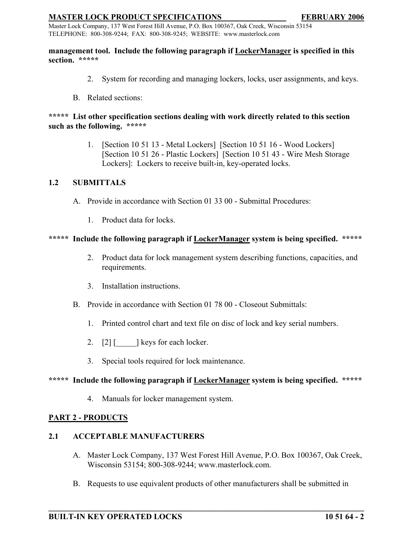Master Lock Company, 137 West Forest Hill Avenue, P.O. Box 100367, Oak Creek, Wisconsin 53154 TELEPHONE: 800-308-9244; FAX: 800-308-9245; WEBSITE: www.masterlock.com

#### **management tool. Include the following paragraph if LockerManager is specified in this section. \*\*\*\*\***

- 2. System for recording and managing lockers, locks, user assignments, and keys.
- B. Related sections:

## **\*\*\*\*\* List other specification sections dealing with work directly related to this section such as the following. \*\*\*\*\***

1. [Section 10 51 13 - Metal Lockers] [Section 10 51 16 - Wood Lockers] [Section 10 51 26 - Plastic Lockers] [Section 10 51 43 - Wire Mesh Storage Lockers]: Lockers to receive built-in, key-operated locks.

# **1.2 SUBMITTALS**

- A. Provide in accordance with Section 01 33 00 Submittal Procedures:
	- 1. Product data for locks.

## **\*\*\*\*\* Include the following paragraph if LockerManager system is being specified. \*\*\*\*\***

- 2. Product data for lock management system describing functions, capacities, and requirements.
- 3. Installation instructions.
- B. Provide in accordance with Section 01 78 00 Closeout Submittals:
	- 1. Printed control chart and text file on disc of lock and key serial numbers.
	- 2.  $[2]$  [  $\qquad$  ] keys for each locker.
	- 3. Special tools required for lock maintenance.

## **\*\*\*\*\* Include the following paragraph if LockerManager system is being specified. \*\*\*\*\***

4. Manuals for locker management system.

## **PART 2 - PRODUCTS**

# **2.1 ACCEPTABLE MANUFACTURERS**

- A. Master Lock Company, 137 West Forest Hill Avenue, P.O. Box 100367, Oak Creek, Wisconsin 53154; 800-308-9244; www.masterlock.com.
- B. Requests to use equivalent products of other manufacturers shall be submitted in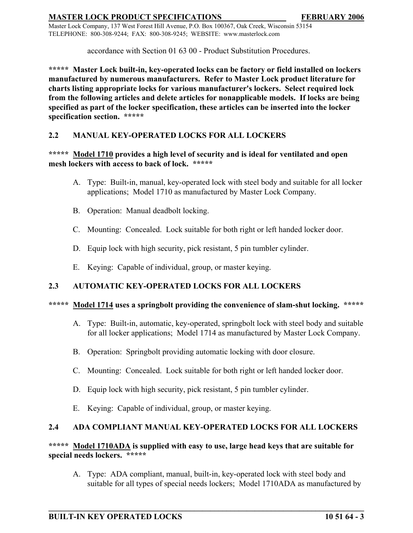Master Lock Company, 137 West Forest Hill Avenue, P.O. Box 100367, Oak Creek, Wisconsin 53154 TELEPHONE: 800-308-9244; FAX: 800-308-9245; WEBSITE: www.masterlock.com

accordance with Section 01 63 00 - Product Substitution Procedures.

**\*\*\*\*\* Master Lock built-in, key-operated locks can be factory or field installed on lockers manufactured by numerous manufacturers. Refer to Master Lock product literature for charts listing appropriate locks for various manufacturer's lockers. Select required lock from the following articles and delete articles for nonapplicable models. If locks are being specified as part of the locker specification, these articles can be inserted into the locker specification section. \*\*\*\*\***

# **2.2 MANUAL KEY-OPERATED LOCKS FOR ALL LOCKERS**

## **\*\*\*\*\* Model 1710 provides a high level of security and is ideal for ventilated and open mesh lockers with access to back of lock. \*\*\*\*\***

- A. Type: Built-in, manual, key-operated lock with steel body and suitable for all locker applications; Model 1710 as manufactured by Master Lock Company.
- B. Operation: Manual deadbolt locking.
- C. Mounting: Concealed. Lock suitable for both right or left handed locker door.
- D. Equip lock with high security, pick resistant, 5 pin tumbler cylinder.
- E. Keying: Capable of individual, group, or master keying.

# **2.3 AUTOMATIC KEY-OPERATED LOCKS FOR ALL LOCKERS**

# **\*\*\*\*\* Model 1714 uses a springbolt providing the convenience of slam-shut locking. \*\*\*\*\***

- A. Type: Built-in, automatic, key-operated, springbolt lock with steel body and suitable for all locker applications; Model 1714 as manufactured by Master Lock Company.
- B. Operation: Springbolt providing automatic locking with door closure.
- C. Mounting: Concealed. Lock suitable for both right or left handed locker door.
- D. Equip lock with high security, pick resistant, 5 pin tumbler cylinder.
- E. Keying: Capable of individual, group, or master keying.

# **2.4 ADA COMPLIANT MANUAL KEY-OPERATED LOCKS FOR ALL LOCKERS**

## **\*\*\*\*\* Model 1710ADA is supplied with easy to use, large head keys that are suitable for special needs lockers. \*\*\*\*\***

**\_\_\_\_\_\_\_\_\_\_\_\_\_\_\_\_\_\_\_\_\_\_\_\_\_\_\_\_\_\_\_\_\_\_\_\_\_\_\_\_\_\_\_\_\_\_\_\_\_\_\_\_\_\_\_\_\_\_\_\_\_\_\_\_\_\_\_\_\_\_\_\_\_\_\_\_\_\_**

A. Type: ADA compliant, manual, built-in, key-operated lock with steel body and suitable for all types of special needs lockers; Model 1710ADA as manufactured by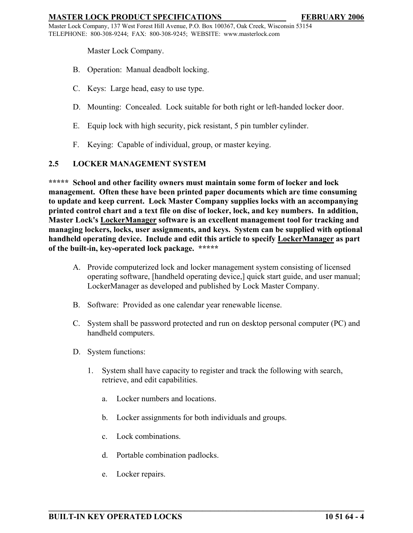Master Lock Company, 137 West Forest Hill Avenue, P.O. Box 100367, Oak Creek, Wisconsin 53154 TELEPHONE: 800-308-9244; FAX: 800-308-9245; WEBSITE: www.masterlock.com

Master Lock Company.

- B. Operation: Manual deadbolt locking.
- C. Keys: Large head, easy to use type.
- D. Mounting: Concealed. Lock suitable for both right or left-handed locker door.
- E. Equip lock with high security, pick resistant, 5 pin tumbler cylinder.
- F. Keying: Capable of individual, group, or master keying.

## **2.5 LOCKER MANAGEMENT SYSTEM**

**\*\*\*\*\* School and other facility owners must maintain some form of locker and lock management. Often these have been printed paper documents which are time consuming to update and keep current. Lock Master Company supplies locks with an accompanying printed control chart and a text file on disc of locker, lock, and key numbers. In addition, Master Lock's LockerManager software is an excellent management tool for tracking and managing lockers, locks, user assignments, and keys. System can be supplied with optional handheld operating device. Include and edit this article to specify LockerManager as part of the built-in, key-operated lock package. \*\*\*\*\*** 

- A. Provide computerized lock and locker management system consisting of licensed operating software, [handheld operating device,] quick start guide, and user manual; LockerManager as developed and published by Lock Master Company.
- B. Software: Provided as one calendar year renewable license.
- C. System shall be password protected and run on desktop personal computer (PC) and handheld computers.
- D. System functions:
	- 1. System shall have capacity to register and track the following with search, retrieve, and edit capabilities.
		- a. Locker numbers and locations.
		- b. Locker assignments for both individuals and groups.

- c. Lock combinations.
- d. Portable combination padlocks.
- e. Locker repairs.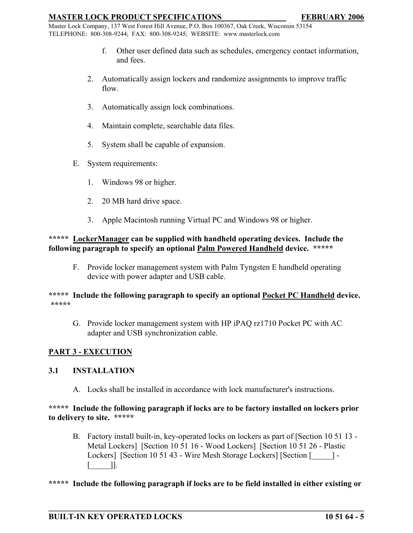Master Lock Company, 137 West Forest Hill Avenue, P.O. Box 100367, Oak Creek, Wisconsin 53154 TELEPHONE: 800-308-9244; FAX: 800-308-9245; WEBSITE: www.masterlock.com

- f. Other user defined data such as schedules, emergency contact information, and fees.
- 2. Automatically assign lockers and randomize assignments to improve traffic flow.
- 3. Automatically assign lock combinations.
- 4. Maintain complete, searchable data files.
- 5. System shall be capable of expansion.
- E. System requirements:
	- 1. Windows 98 or higher.
	- 2. 20 MB hard drive space.
	- 3. Apple Macintosh running Virtual PC and Windows 98 or higher.

# **\*\*\*\*\* LockerManager can be supplied with handheld operating devices. Include the following paragraph to specify an optional Palm Powered Handheld device. \*\*\*\*\***

F. Provide locker management system with Palm Tyngsten E handheld operating device with power adapter and USB cable.

## **\*\*\*\*\* Include the following paragraph to specify an optional Pocket PC Handheld device. \*\*\*\*\***

G. Provide locker management system with HP iPAQ rz1710 Pocket PC with AC adapter and USB synchronization cable.

# **PART 3 - EXECUTION**

# **3.1 INSTALLATION**

A. Locks shall be installed in accordance with lock manufacturer's instructions.

## **\*\*\*\*\* Include the following paragraph if locks are to be factory installed on lockers prior to delivery to site. \*\*\*\*\***

B. Factory install built-in, key-operated locks on lockers as part of [Section 10 51 13 - Metal Lockers] [Section 10 51 16 - Wood Lockers] [Section 10 51 26 - Plastic Lockers] [Section 10 51 43 - Wire Mesh Storage Lockers] [Section [2014] - $\lceil$   $\lceil$   $\rceil$ .

# **\*\*\*\*\* Include the following paragraph if locks are to be field installed in either existing or**